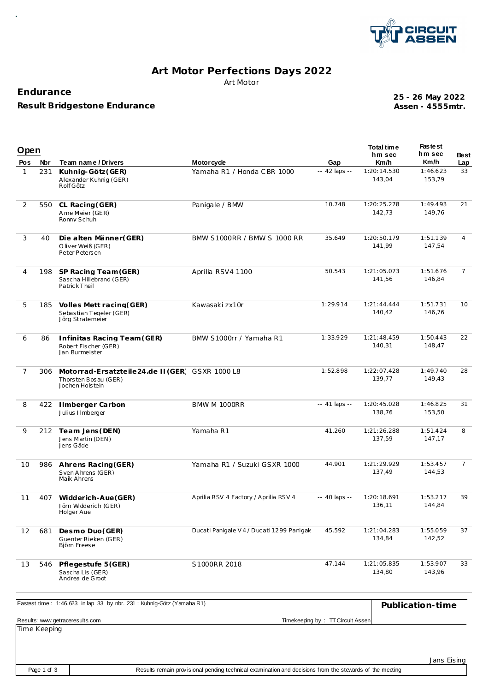

# **Art Motor Perfections Days 2022** Art Motor

### **Endurance**

**Result Bridgestone Endurance**

**Assen - 4555mtr. 25 - 26 May 2022**

| Open           |            |                                                                                            |                                                 |                                  | Total time<br>hm sec  | <b>Fastest</b><br>hm sec | <b>Best</b>    |
|----------------|------------|--------------------------------------------------------------------------------------------|-------------------------------------------------|----------------------------------|-----------------------|--------------------------|----------------|
| Pos<br>1       | Nbr<br>231 | Team name / Drivers<br>Kuhnig-Götz (GER)                                                   | <b>Motorcycle</b><br>Yamaha R1 / Honda CBR 1000 | Gap<br>-- 42 laps --             | Km/h<br>1:20:14.530   | Km/h<br>1:46.623         | Lap<br>33      |
|                |            | Alexander Kuhnig (GER)<br>Rolf Götz                                                        |                                                 |                                  | 143,04                | 153,79                   |                |
| 2              | 550        | CL Racing (GER)<br>Ame Meier (GER)<br>Ronny Schuh                                          | Panigale / BMW                                  | 10.748                           | 1:20:25.278<br>142,73 | 1:49.493<br>149,76       | 21             |
| 3              | 40         | Die alten Männer(GER)<br>Oliver Weiß (GER)<br>Peter Petersen                               | BMW S1000RR / BMW S 1000 RR                     | 35.649                           | 1:20:50.179<br>141,99 | 1:51.139<br>147,54       | $\overline{4}$ |
| 4              | 198        | SP Racing Team (GER)<br>Sascha Hillebrand (GER)<br>PatrickTheil                            | Aprilia RSV4 1100                               | 50.543                           | 1:21:05.073<br>141,56 | 1:51.676<br>146,84       | $\overline{7}$ |
| 5              | 185        | Volles Mett racing (GER)<br>Sebastian Tegeler (GER)<br>Jörg Stratemeier                    | Kawasaki zx10r                                  | 1:29.914                         | 1:21:44.444<br>140.42 | 1:51.731<br>146,76       | 10             |
| 6              | 86         | Infinitas Racing Team (GER)<br>Robert Fischer (GER)<br>Jan Burmeister                      | BMW S1000rr / Yamaha R1                         | 1:33.929                         | 1:21:48.459<br>140,31 | 1:50.443<br>148,47       | 22             |
| $\overline{7}$ | 306        | Motorrad-Ersatzteile24.de II (GER) GSXR 1000 L8<br>Thorsten Bosau (GER)<br>Jochen Holstein |                                                 | 1:52.898                         | 1:22:07.428<br>139,77 | 1:49.740<br>149.43       | 28             |
| 8              | 422        | <b>Ilmberger Carbon</b><br>Julius IImberger                                                | BMW M 1000RR                                    | -- 41 laps --                    | 1:20:45.028<br>138,76 | 1:46.825<br>153,50       | 31             |
| 9              | 212        | Team Jens (DEN)<br>Jens Martin (DEN)<br>Jens Gäde                                          | Yamaha R1                                       | 41.260                           | 1:21:26.288<br>137,59 | 1:51.424<br>147,17       | 8              |
| 10             | 986        | Ahrens Racing (GER)<br>Sven Ahrens (GER)<br>Maik Ahrens                                    | Yamaha R1 / Suzuki GSXR 1000                    | 44.901                           | 1:21:29.929<br>137,49 | 1:53.457<br>144,53       | $\overline{7}$ |
| 11             | 407        | Widderich-Aue (GER)<br>Jörn Widderich (GER)<br>Holger Aue                                  | Aprilia RSV 4 Factory / Aprilia RSV 4           | -- 40 laps --                    | 1:20:18.691<br>136,11 | 1:53.217<br>144,84       | 39             |
| 12             | 681        | Desmo Duo (GER)<br>Guenter Rieken (GER)<br>Bjöm Freese                                     | Ducati Panigale V 4 / Ducati 1299 Panigak       | 45.592                           | 1:21:04.283<br>134,84 | 1:55.059<br>142,52       | 37             |
| 13             | 546        | Pflegestufe 5 (GER)<br>Sascha Lis (GER)<br>Andrea de Groot                                 | S1000RR 2018                                    | 47.144                           | 1:21:05.835<br>134,80 | 1:53.907<br>143,96       | 33             |
|                |            | Fastest time: 1:46.623 in lap 33 by nbr. 231 : Kuhnig-Götz (Yamaha R1)                     |                                                 |                                  |                       | Publication-time         |                |
|                |            | Results: www.getraceresults.com                                                            |                                                 | Timekeeping by: TT Circuit Assen |                       |                          |                |

Time Keeping

Jans Eising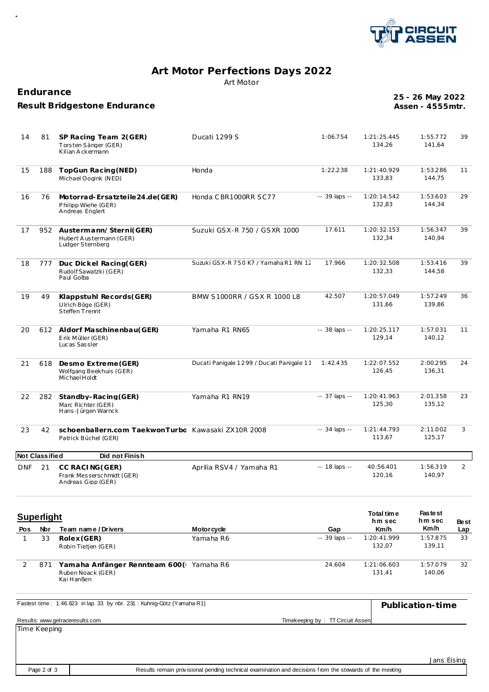

## **Art Motor Perfections Days 2022** Art Motor

**Endurance**

#### **Result Bridgestone Endurance**

**Assen - 4555mtr. 25 - 26 May 2022**

| 14         | 81                    | SP Racing Team 2(GER)<br>Torsten Sänger (GER)<br>Kilian Ackermann          | Ducati 1299 S                             | 1:06.754      | 1:21:25.445<br>134,26 | 1:55.772<br>141,64 | 39             |
|------------|-----------------------|----------------------------------------------------------------------------|-------------------------------------------|---------------|-----------------------|--------------------|----------------|
| 15         | 188                   | TopGun Racing (NED)<br>Michael Oogink (NED)                                | Honda                                     | 1:22.238      | 1:21:40.929<br>133,83 | 1:53.286<br>144,75 | 11             |
| 16         | 76                    | Motorrad-Ersatzteile24.de(GER)<br>Philipp Wiehe (GER)<br>Andreas Englert   | Honda CBR1000RR SC77                      | -- 39 laps -- | 1:20:14.542<br>132,83 | 1:53.603<br>144,34 | 29             |
| 17         |                       | 952 Austermann/Sterni(GER)<br>Hubert Austermann (GER)<br>Ludger Sternberg  | Suzuki GSX-R 750 / GSXR 1000              | 17.611        | 1:20:32.153<br>132,34 | 1:56.347<br>140.94 | 39             |
| 18         | 777                   | Duc Dickel Racing(GER)<br>Rudolf Sawatzki (GER)<br>Paul Golba              | Suzuki GSX-R 750 K7 / Yamaha R1 RN 12     | 17.966        | 1:20:32.508<br>132,33 | 1:53.416<br>144,58 | 39             |
| 19         | 49                    | Klappstuhl Records(GER)<br>Ulrich Böge (GER)<br>Steffen Trennt             | BMW S1000RR / GSX R 1000 L8               | 42.507        | 1:20:57.049<br>131,66 | 1:57.249<br>139.86 | 36             |
| 20         |                       | 612 Aldorf Maschinenbau(GER)<br>Erik Müller (GER)<br>Lucas Sassler         | Yamaha R1 RN65                            | -- 38 laps -- | 1:20:25.117<br>129,14 | 1:57.031<br>140,12 | 11             |
| 21         | 618                   | Desmo Extreme (GER)<br>Wolfgang Beekhuis (GER)<br>Michael Holdt            | Ducati Panigale 1299 / Ducati Panigale 11 | 1:42.435      | 1:22:07.552<br>126.45 | 2:00.295<br>136,31 | 24             |
| 22         | 282                   | Standby-Racing (GER)<br>Marc Richter (GER)<br>Hans-Jürgen Warnck           | Yamaha R1 RN19                            | -- 37 laps -- | 1:20:41.963<br>125,30 | 2:01.358<br>135,12 | 23             |
| 23         | 42                    | schoenballern.com TaekwonTurbc Kawasaki ZX10R 2008<br>Patrick Büchel (GER) |                                           | -- 34 laps -- | 1:21:44.793<br>113.67 | 2:11.002<br>125.17 | 3              |
|            | <b>Not Classified</b> | Did not Finish                                                             |                                           |               |                       |                    |                |
| <b>DNF</b> | 21                    | CC RACING (GER)<br>Frank Messerschmidt (GER)<br>Andreas Gipp (GER)         | Aprilia RSV4 / Yamaha R1                  | -- 18 laps -- | 40:56.401<br>120,16   | 1:56.319<br>140,97 | $\overline{2}$ |
|            |                       |                                                                            |                                           |               |                       |                    |                |

| <b>Superlight</b> |     |                                                                            | Total time<br>hm sec | <b>Fastest</b><br>hm sec | <b>Best</b>           |                    |     |
|-------------------|-----|----------------------------------------------------------------------------|----------------------|--------------------------|-----------------------|--------------------|-----|
| <b>Pos</b>        | Nbr | Team name/Drivers                                                          | <b>Motorcycle</b>    | Gap                      | Km/h                  | Km/h               | Lap |
|                   | 33  | Rolex (GER)<br>Robin Tietien (GER)                                         | Yamaha R6            | $-39$ laps $-$           | 1:20:41.999<br>132.07 | 1:57.875<br>139.11 | 33  |
|                   | 871 | Yamaha Anfänger Rennteam 600 (Vamaha R6<br>Ruben Noack (GER)<br>Kai Hanßen |                      | 24.604                   | 1:21:06.603<br>131.41 | 1:57.079<br>140.06 | 32  |

| Fastest time: 1:46.623 in lap 33 by nbr. 231: Kuhnig-Götz (Yamaha R1)                                                                                  |                                  | Publication-time |
|--------------------------------------------------------------------------------------------------------------------------------------------------------|----------------------------------|------------------|
| Results: www.getraceresults.com<br>and the contract of the contract of the contract of the contract of the contract of the contract of the contract of | Timekeeping by: TT Circuit Assen |                  |

Time Keeping

Jans Eising